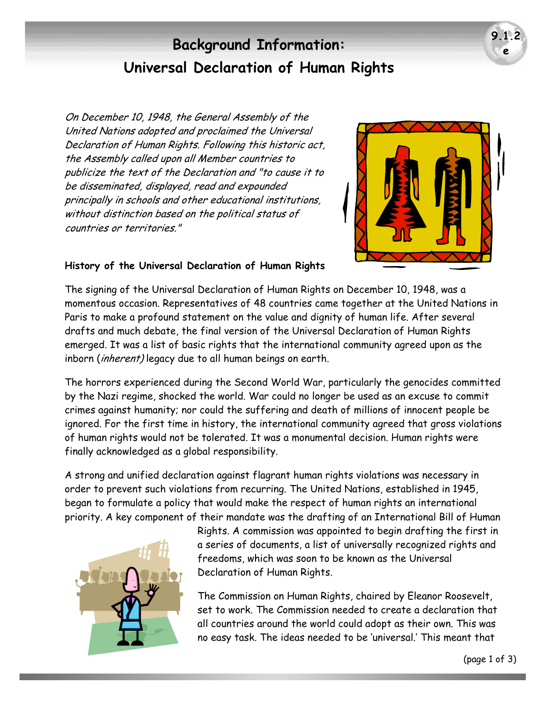# **Background Information: Universal Declaration of Human Rights**

On December 10, 1948, the General Assembly of the United Nations adopted and proclaimed the Universal Declaration of Human Rights. Following this historic act, the Assembly called upon all Member countries to publicize the text of the Declaration and "to cause it to be disseminated, displayed, read and expounded principally in schools and other educational institutions, without distinction based on the political status of countries or territories."



**9.1. e** 

### **History of the Universal Declaration of Human Rights**

The signing of the Universal Declaration of Human Rights on December 10, 1948, was a momentous occasion. Representatives of 48 countries came together at the United Nations in Paris to make a profound statement on the value and dignity of human life. After several drafts and much debate, the final version of the Universal Declaration of Human Rights emerged. It was a list of basic rights that the international community agreed upon as the inborn (inherent) legacy due to all human beings on earth.

The horrors experienced during the Second World War, particularly the genocides committed by the Nazi regime, shocked the world. War could no longer be used as an excuse to commit crimes against humanity; nor could the suffering and death of millions of innocent people be ignored. For the first time in history, the international community agreed that gross violations of human rights would not be tolerated. It was a monumental decision. Human rights were finally acknowledged as a global responsibility.

A strong and unified declaration against flagrant human rights violations was necessary in order to prevent such violations from recurring. The United Nations, established in 1945, began to formulate a policy that would make the respect of human rights an international priority. A key component of their mandate was the drafting of an International Bill of Human



Rights. A commission was appointed to begin drafting the first in a series of documents, a list of universally recognized rights and freedoms, which was soon to be known as the Universal Declaration of Human Rights.

The Commission on Human Rights, chaired by Eleanor Roosevelt, set to work. The Commission needed to create a declaration that all countries around the world could adopt as their own. This was no easy task. The ideas needed to be 'universal.' This meant that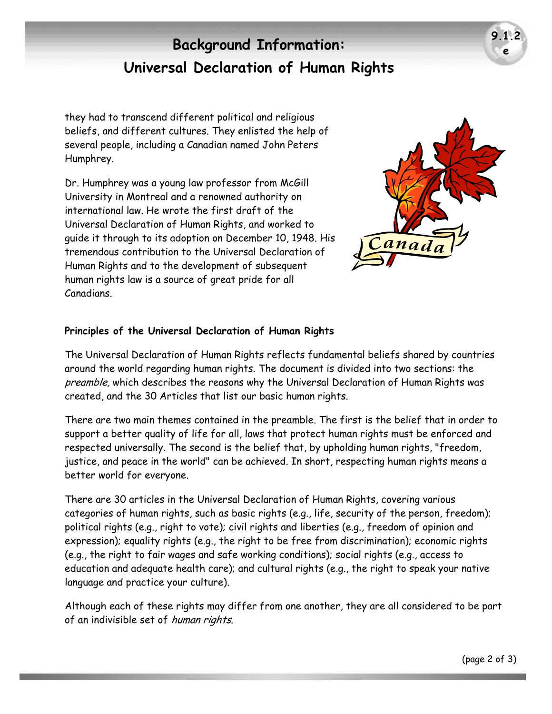# **Background Information: Universal Declaration of Human Rights**

they had to transcend different political and religious beliefs, and different cultures. They enlisted the help of several people, including a Canadian named John Peters Humphrey.

Dr. Humphrey was a young law professor from McGill University in Montreal and a renowned authority on international law. He wrote the first draft of the Universal Declaration of Human Rights, and worked to guide it through to its adoption on December 10, 1948. His tremendous contribution to the Universal Declaration of Human Rights and to the development of subsequent human rights law is a source of great pride for all Canadians.



**9.1. e** 

#### **Principles of the Universal Declaration of Human Rights**

The Universal Declaration of Human Rights reflects fundamental beliefs shared by countries around the world regarding human rights. The document is divided into two sections: the preamble, which describes the reasons why the Universal Declaration of Human Rights was created, and the 30 Articles that list our basic human rights.

There are two main themes contained in the preamble. The first is the belief that in order to support a better quality of life for all, laws that protect human rights must be enforced and respected universally. The second is the belief that, by upholding human rights, "freedom, justice, and peace in the world" can be achieved. In short, respecting human rights means a better world for everyone.

There are 30 articles in the Universal Declaration of Human Rights, covering various categories of human rights, such as basic rights (e.g., life, security of the person, freedom); political rights (e.g., right to vote); civil rights and liberties (e.g., freedom of opinion and expression); equality rights (e.g., the right to be free from discrimination); economic rights (e.g., the right to fair wages and safe working conditions); social rights (e.g., access to education and adequate health care); and cultural rights (e.g., the right to speak your native language and practice your culture).

Although each of these rights may differ from one another, they are all considered to be part of an indivisible set of human rights.